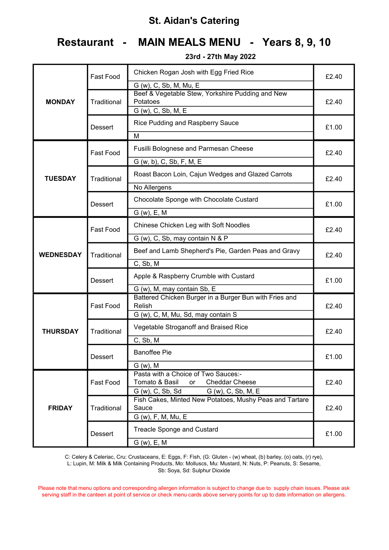# Restaurant - MAIN MEALS MENU - Years 8, 9, 10

23rd - 27th May 2022

|                  | Fast Food          | Chicken Rogan Josh with Egg Fried Rice<br>G (w), C, Sb, M, Mu, E                   | £2.40 |  |
|------------------|--------------------|------------------------------------------------------------------------------------|-------|--|
| <b>MONDAY</b>    | Traditional        | Beef & Vegetable Stew, Yorkshire Pudding and New<br>Potatoes<br>G (w), C, Sb, M, E | £2.40 |  |
|                  | Dessert            | Rice Pudding and Raspberry Sauce                                                   |       |  |
|                  |                    | M                                                                                  |       |  |
|                  | Fast Food          | <b>Fusilli Bolognese and Parmesan Cheese</b><br>G (w, b), C, Sb, F, M, E           | £2.40 |  |
|                  |                    |                                                                                    |       |  |
| <b>TUESDAY</b>   | <b>Traditional</b> | Roast Bacon Loin, Cajun Wedges and Glazed Carrots                                  | £2.40 |  |
|                  |                    | No Allergens                                                                       |       |  |
|                  | Dessert            | Chocolate Sponge with Chocolate Custard                                            | £1.00 |  |
|                  |                    | $G(w)$ , E, M                                                                      |       |  |
|                  | Fast Food          | Chinese Chicken Leg with Soft Noodles                                              | £2.40 |  |
|                  |                    | G (w), C, Sb, may contain N & P                                                    |       |  |
| <b>WEDNESDAY</b> | Traditional        | Beef and Lamb Shepherd's Pie, Garden Peas and Gravy                                | £2.40 |  |
|                  |                    | C, Sb, M                                                                           |       |  |
|                  | Dessert            | Apple & Raspberry Crumble with Custard                                             | £1.00 |  |
|                  |                    | G (w), M, may contain Sb, E                                                        |       |  |
|                  | Fast Food          | Battered Chicken Burger in a Burger Bun with Fries and<br>Relish                   | £2.40 |  |
|                  |                    | G (w), C, M, Mu, Sd, may contain S                                                 |       |  |
| <b>THURSDAY</b>  | Traditional        | Vegetable Stroganoff and Braised Rice                                              | £2.40 |  |
|                  |                    | C, Sb, M                                                                           |       |  |
|                  | Dessert            | <b>Banoffee Pie</b>                                                                | £1.00 |  |
|                  |                    | $G(w)$ , M                                                                         |       |  |
|                  | Fast Food          | Pasta with a Choice of Two Sauces:-<br>Tomato & Basil<br><b>Cheddar Cheese</b>     | £2.40 |  |
|                  |                    | or<br>G (w), C, Sb, Sd<br>G (w), C, Sb, M, E                                       |       |  |
|                  |                    | Fish Cakes, Minted New Potatoes, Mushy Peas and Tartare                            |       |  |
| <b>FRIDAY</b>    | Traditional        | Sauce                                                                              | £2.40 |  |
|                  |                    | G (w), F, M, Mu, E                                                                 |       |  |
|                  | Dessert            | <b>Treacle Sponge and Custard</b>                                                  | £1.00 |  |
|                  |                    | $G(w)$ , E, M                                                                      |       |  |

C: Celery & Celeriac, Cru: Crustaceans, E: Eggs, F: Fish, (G: Gluten - (w) wheat, (b) barley, (o) oats, (r) rye), L: Lupin, M: Milk & Milk Containing Products, Mo: Molluscs, Mu: Mustard, N: Nuts, P: Peanuts, S: Sesame, Sb: Soya, Sd: Sulphur Dioxide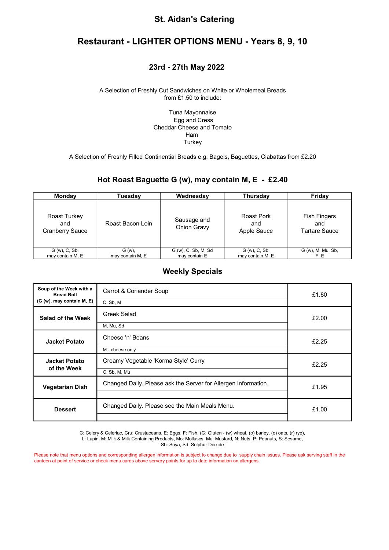## Restaurant - LIGHTER OPTIONS MENU - Years 8, 9, 10

#### 23rd - 27th May 2022

#### A Selection of Freshly Cut Sandwiches on White or Wholemeal Breads from £1.50 to include:

Tuna Mayonnaise Egg and Cress Cheddar Cheese and Tomato Ham **Turkey** 

A Selection of Freshly Filled Continential Breads e.g. Bagels, Baguettes, Ciabattas from £2.20

#### Hot Roast Baguette G (w), may contain M, E - £2.40

| <b>Monday</b>                                 | Tuesdav          | Wednesday                  | Thursday                         | Friday                                             |
|-----------------------------------------------|------------------|----------------------------|----------------------------------|----------------------------------------------------|
| Roast Turkey<br>and<br><b>Cranberry Sauce</b> | Roast Bacon Loin | Sausage and<br>Onion Gravy | Roast Pork<br>and<br>Apple Sauce | <b>Fish Fingers</b><br>and<br><b>Tartare Sauce</b> |
| $G(w)$ , $C$ , $Sb$ ,                         | $G(w)$ ,         | G (w), C, Sb, M, Sd        | $G(w)$ , $C$ , $Sb$ ,            | G (w), M, Mu, Sb,                                  |
| may contain M, E                              | may contain M, E | may contain E              | may contain M, E                 | F.E.                                               |

#### Weekly Specials

| Soup of the Week with a<br><b>Bread Roll</b><br>(G (w), may contain M, E) | Carrot & Coriander Soup<br>C, Sb, M                            | £1.80 |
|---------------------------------------------------------------------------|----------------------------------------------------------------|-------|
| Salad of the Week                                                         | Greek Salad<br>M, Mu, Sd                                       | £2.00 |
| <b>Jacket Potato</b>                                                      | Cheese 'n' Beans<br>M - cheese only                            | £2.25 |
| <b>Jacket Potato</b><br>of the Week                                       | Creamy Vegetable 'Korma Style' Curry<br>C, Sb, M, Mu           | £2.25 |
| <b>Vegetarian Dish</b>                                                    | Changed Daily. Please ask the Server for Allergen Information. | £1.95 |
| <b>Dessert</b>                                                            | Changed Daily. Please see the Main Meals Menu.                 | £1.00 |

C: Celery & Celeriac, Cru: Crustaceans, E: Eggs, F: Fish, (G: Gluten - (w) wheat, (b) barley, (o) oats, (r) rye), L: Lupin, M: Milk & Milk Containing Products, Mo: Molluscs, Mu: Mustard, N: Nuts, P: Peanuts, S: Sesame,

Sb: Soya, Sd: Sulphur Dioxide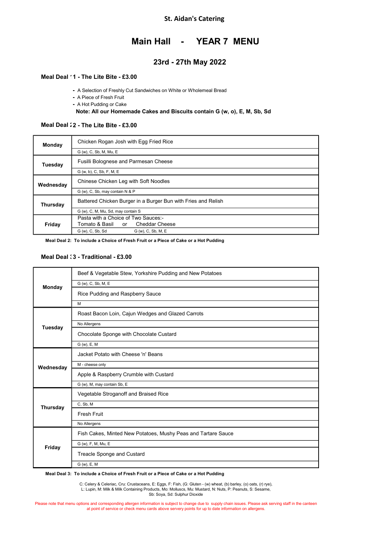#### Main Hall - YEAR 7 MENU

### 23rd - 27th May 2022

#### Meal Deal 11 - The Lite Bite - £3.00

- A Selection of Freshly Cut Sandwiches on White or Wholemeal Bread
- A Piece of Fresh Fruit
- A Hot Pudding or Cake

#### Note: All our Homemade Cakes and Biscuits contain G (w, o), E, M, Sb, Sd

#### Meal Deal 12 - The Lite Bite - £3.00

| Monday    | Chicken Rogan Josh with Egg Fried Rice                        |
|-----------|---------------------------------------------------------------|
|           | G (w), C, Sb, M, Mu, E                                        |
| Tuesdav   | Fusilli Bolognese and Parmesan Cheese                         |
|           | G (w, b), C, Sb, F, M, E                                      |
| Wednesday | Chinese Chicken Leg with Soft Noodles                         |
|           | G (w), C, Sb, may contain N & P                               |
| Thursday  | Battered Chicken Burger in a Burger Bun with Fries and Relish |
|           | G (w), C, M, Mu, Sd, may contain S                            |
|           | Pasta with a Choice of Two Sauces:-                           |
| Friday    | Tomato & Basil  or<br><b>Cheddar Cheese</b>                   |
|           | G (w), C, Sb, Sd<br>G (w), C, Sb, M, E                        |

Meal Deal 2: To include a Choice of Fresh Fruit or a Piece of Cake or a Hot Pudding

#### Meal Deal 3 - Traditional - £3.00

| Monday         | Beef & Vegetable Stew, Yorkshire Pudding and New Potatoes     |
|----------------|---------------------------------------------------------------|
|                | G (w), C, Sb, M, E                                            |
|                | Rice Pudding and Raspberry Sauce                              |
|                | м                                                             |
|                | Roast Bacon Loin, Cajun Wedges and Glazed Carrots             |
| <b>Tuesday</b> | No Allergens                                                  |
|                | Chocolate Sponge with Chocolate Custard                       |
|                | G (w), E, M                                                   |
|                | Jacket Potato with Cheese 'n' Beans                           |
| Wednesday      | M - cheese only                                               |
|                | Apple & Raspberry Crumble with Custard                        |
|                | G (w), M, may contain Sb, E                                   |
|                | Vegetable Stroganoff and Braised Rice                         |
| Thursday       | C, Sb, M                                                      |
|                | <b>Fresh Fruit</b>                                            |
|                | No Allergens                                                  |
|                | Fish Cakes, Minted New Potatoes, Mushy Peas and Tartare Sauce |
| Friday         | G (w), F, M, Mu, E                                            |
|                | Treacle Sponge and Custard                                    |
|                | G (w), E, M                                                   |

Meal Deal 3: To include a Choice of Fresh Fruit or a Piece of Cake or a Hot Pudding

C: Celery & Celeriac, Cru: Crustaceans, E: Eggs, F: Fish, (G: Gluten - (w) wheat, (b) barley, (o) oats, (r) rye),<br>L: Lupin, M: Milk & Milk Containing Products, Mo: Molluscs, Mu: Mustard, N: Nuts, P: Peanuts, S: Sesame,

Sb: Soya, Sd: Sulphur Dioxide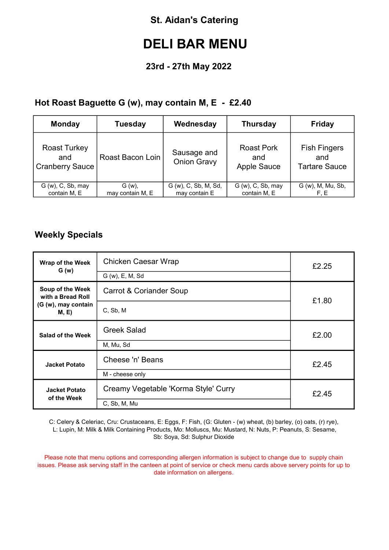# DELI BAR MENU

## 23rd - 27th May 2022

## Hot Roast Baguette G (w), may contain M, E - £2.40

| <b>Monday</b>                                        | <b>Tuesday</b>   | Wednesday                         | <b>Thursday</b>                                | <b>Friday</b>                                      |
|------------------------------------------------------|------------------|-----------------------------------|------------------------------------------------|----------------------------------------------------|
| <b>Roast Turkey</b><br>and<br><b>Cranberry Sauce</b> | Roast Bacon Loin | Sausage and<br><b>Onion Gravy</b> | <b>Roast Pork</b><br>and<br><b>Apple Sauce</b> | <b>Fish Fingers</b><br>and<br><b>Tartare Sauce</b> |
| $G(w)$ , $C$ , $Sb$ , may                            | $G(w)$ ,         | G (w), C, Sb, M, Sd,              | $G(w)$ , C, Sb, may                            | G (w), M, Mu, Sb,                                  |
| contain M, E                                         | may contain M, E | may contain E                     | contain M, E                                   | F.E                                                |

## Weekly Specials

| Wrap of the Week<br>G(w)              | <b>Chicken Caesar Wrap</b>                    | £2.25 |  |
|---------------------------------------|-----------------------------------------------|-------|--|
|                                       | G (w), E, M, Sd                               |       |  |
| Soup of the Week<br>with a Bread Roll | Carrot & Coriander Soup                       | £1.80 |  |
| (G (w), may contain<br>M, E           | C, Sb, M                                      |       |  |
| Salad of the Week                     | <b>Greek Salad</b>                            | £2.00 |  |
|                                       | M, Mu, Sd                                     |       |  |
| <b>Jacket Potato</b>                  | Cheese 'n' Beans                              | £2.45 |  |
|                                       | M - cheese only                               |       |  |
| <b>Jacket Potato</b><br>of the Week   | Creamy Vegetable 'Korma Style' Curry<br>£2.45 |       |  |
|                                       | C, Sb, M, Mu                                  |       |  |

C: Celery & Celeriac, Cru: Crustaceans, E: Eggs, F: Fish, (G: Gluten - (w) wheat, (b) barley, (o) oats, (r) rye), L: Lupin, M: Milk & Milk Containing Products, Mo: Molluscs, Mu: Mustard, N: Nuts, P: Peanuts, S: Sesame, Sb: Soya, Sd: Sulphur Dioxide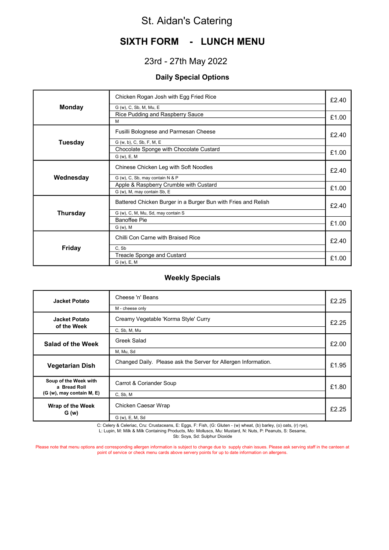# SIXTH FORM - LUNCH MENU

## 23rd - 27th May 2022

### Daily Special Options

|                 | Chicken Rogan Josh with Egg Fried Rice<br>G (w), C, Sb, M, Mu, E | £2.40 |
|-----------------|------------------------------------------------------------------|-------|
| <b>Monday</b>   |                                                                  |       |
|                 | Rice Pudding and Raspberry Sauce<br>M                            | £1.00 |
|                 |                                                                  |       |
|                 | Fusilli Bolognese and Parmesan Cheese                            | £2.40 |
| <b>Tuesday</b>  | G (w, b), C, Sb, F, M, E                                         |       |
|                 | Chocolate Sponge with Chocolate Custard                          |       |
|                 | G (w), E, M                                                      | £1.00 |
|                 |                                                                  |       |
|                 | Chinese Chicken Leg with Soft Noodles                            | £2.40 |
| Wednesday       | G (w), C, Sb, may contain N & P                                  |       |
|                 | Apple & Raspberry Crumble with Custard                           |       |
|                 | G (w), M, may contain Sb, E                                      | £1.00 |
|                 | Battered Chicken Burger in a Burger Bun with Fries and Relish    | £2.40 |
| <b>Thursday</b> | G (w), C, M, Mu, Sd, may contain S                               |       |
|                 | <b>Banoffee Pie</b>                                              | £1.00 |
|                 | G (w), M                                                         |       |
|                 | Chilli Con Carne with Braised Rice                               | £2.40 |
| <b>Friday</b>   | C. Sb                                                            |       |
|                 | Treacle Sponge and Custard                                       | £1.00 |
|                 | G (w), E, M                                                      |       |

#### Weekly Specials

| <b>Jacket Potato</b>                                               | Cheese 'n' Beans<br>M - cheese only                            | £2.25 |
|--------------------------------------------------------------------|----------------------------------------------------------------|-------|
| <b>Jacket Potato</b><br>of the Week                                | Creamy Vegetable 'Korma Style' Curry<br>C, Sb, M, Mu           | £2.25 |
| <b>Salad of the Week</b>                                           | Greek Salad<br>M, Mu, Sd                                       | £2.00 |
| <b>Vegetarian Dish</b>                                             | Changed Daily. Please ask the Server for Allergen Information. | £1.95 |
| Soup of the Week with<br>a Bread Roll<br>(G (w), may contain M, E) | Carrot & Coriander Soup<br>C, Sb, M                            | £1.80 |
| Wrap of the Week<br>G(w)                                           | Chicken Caesar Wrap<br>G (w), E, M, Sd                         | £2.25 |

C: Celery & Celeriac, Cru: Crustaceans, E: Eggs, F: Fish, (G: Gluten - (w) wheat, (b) barley, (o) oats, (r) rye), L: Lupin, M: Milk & Milk Containing Products, Mo: Molluscs, Mu: Mustard, N: Nuts, P: Peanuts, S: Sesame,

Sb: Soya, Sd: Sulphur Dioxide